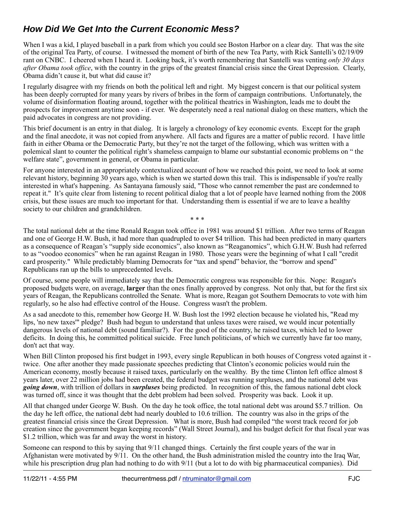## **How Did We Get Into the Current Economic Mess?**

When I was a kid, I played baseball in a park from which you could see Boston Harbor on a clear day. That was the site of the original Tea Party, of course. I witnessed the moment of birth of the new Tea Party, with Rick Santelli's 02/19/09 rant on CNBC. I cheered when I heard it. Looking back, it's worth remembering that Santelli was venting *only 30 days after Obama took office*, with the country in the grips of the greatest financial crisis since the Great Depression. Clearly, Obama didn't cause it, but what did cause it?

I regularly disagree with my friends on both the political left and right. My biggest concern is that our political system has been deeply corrupted for many years by rivers of bribes in the form of campaign contributions. Unfortunately, the volume of disinformation floating around, together with the political theatrics in Washington, leads me to doubt the prospects for improvement anytime soon - if ever. We desperately need a real national dialog on these matters, which the paid advocates in congress are not providing.

This brief document is an entry in that dialog. It is largely a chronology of key economic events. Except for the graph and the final anecdote, it was not copied from anywhere. All facts and figures are a matter of public record. I have little faith in either Obama or the Democratic Party, but they're not the target of the following, which was written with a polemical slant to counter the political right's shameless campaign to blame our substantial economic problems on " the welfare state", government in general, or Obama in particular.

For anyone interested in an appropriately contextualized account of how we reached this point, we need to look at some relevant history, beginning 30 years ago, which is when we started down this trail. This is indispensable if you're really interested in what's happening. As Santayana famously said, "Those who cannot remember the past are condemned to repeat it." It's quite clear from listening to recent political dialog that a lot of people have learned nothing from the 2008 crisis, but these issues are much too important for that. Understanding them is essential if we are to leave a healthy society to our children and grandchildren.

\* \* \*

The total national debt at the time Ronald Reagan took office in 1981 was around \$1 trillion. After two terms of Reagan and one of George H.W. Bush, it had more than quadrupled to over \$4 trillion. This had been predicted in many quarters as a consequence of Reagan's "supply side economics", also known as "Reaganomics", which G.H.W. Bush had referred to as "voodoo economics" when he ran against Reagan in 1980. Those years were the beginning of what I call "credit card prosperity." While predictably blaming Democrats for "tax and spend" behavior, the "borrow and spend" Republicans ran up the bills to unprecedented levels.

Of course, some people will immediately say that the Democratic congress was responsible for this. Nope: Reagan's proposed budgets were, on average, **larger** than the ones finally approved by congress. Not only that, but for the first six years of Reagan, the Republicans controlled the Senate. What is more, Reagan got Southern Democrats to vote with him regularly, so he also had effective control of the House. Congress wasn't the problem.

As a sad anecdote to this, remember how George H. W. Bush lost the 1992 election because he violated his, "Read my lips, 'no new taxes'" pledge? Bush had begun to understand that unless taxes were raised, we would incur potentially dangerous levels of national debt (sound familiar?). For the good of the country, he raised taxes, which led to lower deficits. In doing this, he committed political suicide. Free lunch politicians, of which we currently have far too many, don't act that way.

When Bill Clinton proposed his first budget in 1993, every single Republican in both houses of Congress voted against it twice. One after another they made passionate speeches predicting that Clinton's economic policies would ruin the American economy, mostly because it raised taxes, particularly on the wealthy. By the time Clinton left office almost 8 years later, over 22 million jobs had been created, the federal budget was running surpluses, and the national debt was *going down*, with trillion of dollars in *surpluses* being predicted. In recognition of this, the famous national debt clock was turned off, since it was thought that the debt problem had been solved. Prosperity was back. Look it up.

All that changed under George W. Bush. On the day he took office, the total national debt was around \$5.7 trillion. On the day he left office, the national debt had nearly doubled to 10.6 trillion. The country was also in the grips of the greatest financial crisis since the Great Depression. What is more, Bush had compiled "the worst track record for job creation since the government began keeping records" (Wall Street Journal), and his budget deficit for that fiscal year was \$1.2 trillion, which was far and away the worst in history.

Someone can respond to this by saying that 9/11 changed things. Certainly the first couple years of the war in Afghanistan were motivated by 9/11. On the other hand, the Bush administration misled the country into the Iraq War, while his prescription drug plan had nothing to do with 9/11 (but a lot to do with big pharmaceutical companies). Did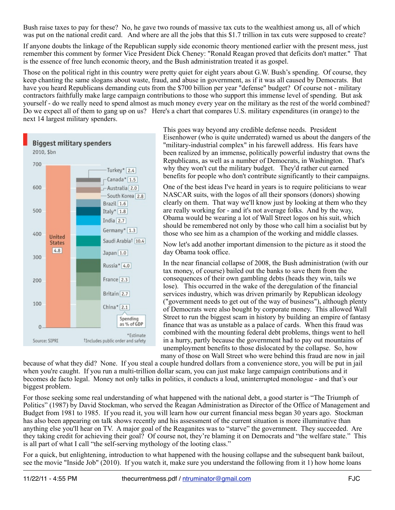Bush raise taxes to pay for these? No, he gave two rounds of massive tax cuts to the wealthiest among us, all of which was put on the national credit card. And where are all the jobs that this \$1.7 trillion in tax cuts were supposed to create?

If anyone doubts the linkage of the Republican supply side economic theory mentioned earlier with the present mess, just remember this comment by former Vice President Dick Cheney: "Ronald Reagan proved that deficits don't matter." That is the essence of free lunch economic theory, and the Bush administration treated it as gospel.

Those on the political right in this country were pretty quiet for eight years about G.W. Bush's spending. Of course, they keep chanting the same slogans about waste, fraud, and abuse in government, as if it was all caused by Democrats. But have you heard Republicans demanding cuts from the \$700 billion per year "defense" budget? Of course not - military contractors faithfully make large campaign contributions to those who support this immense level of spending. But ask yourself - do we really need to spend almost as much money every year on the military as the rest of the world combined? Do we expect all of them to gang up on us? Here's a chart that compares U.S. military expenditures (in orange) to the next 14 largest military spenders.



This goes way beyond any credible defense needs. President Eisenhower (who is quite underrated) warned us about the dangers of the "military-industrial complex" in his farewell address. His fears have been realized by an immense, politically powerful industry that owns the Republicans, as well as a number of Democrats, in Washington. That's why they won't cut the military budget. They'd rather cut earned benefits for people who don't contribute significantly to their campaigns.

One of the best ideas I've heard in years is to require politicians to wear NASCAR suits, with the logos of all their sponsors (donors) showing clearly on them. That way we'll know just by looking at them who they are really working for - and it's not average folks. And by the way, Obama would be wearing a lot of Wall Street logos on his suit, which should be remembered not only by those who call him a socialist but by those who see him as a champion of the working and middle classes.

Now let's add another important dimension to the picture as it stood the day Obama took office.

In the near financial collapse of 2008, the Bush administration (with our tax money, of course) bailed out the banks to save them from the consequences of their own gambling debts (heads they win, tails we lose). This occurred in the wake of the deregulation of the financial services industry, which was driven primarily by Republican ideology ("government needs to get out of the way of business"), although plenty of Democrats were also bought by corporate money. This allowed Wall Street to run the biggest scam in history by building an empire of fantasy finance that was as unstable as a palace of cards. When this fraud was combined with the mounting federal debt problems, things went to hell in a hurry, partly because the government had to pay out mountains of unemployment benefits to those dislocated by the collapse. So, how many of those on Wall Street who were behind this fraud are now in jail

because of what they did? None. If you steal a couple hundred dollars from a convenience store, you will be put in jail when you're caught. If you run a multi-trillion dollar scam, you can just make large campaign contributions and it becomes de facto legal. Money not only talks in politics, it conducts a loud, uninterrupted monologue - and that's our biggest problem.

For those seeking some real understanding of what happened with the national debt, a good starter is "The Triumph of Politics" (1987) by David Stockman, who served the Reagan Administration as Director of the Office of Management and Budget from 1981 to 1985. If you read it, you will learn how our current financial mess began 30 years ago. Stockman has also been appearing on talk shows recently and his assessment of the current situation is more illuminative than anything else you'll hear on TV. A major goal of the Reaganites was to "starve" the government. They succeeded. Are they taking credit for achieving their goal? Of course not, they're blaming it on Democrats and "the welfare state." This is all part of what I call "the self-serving mythology of the looting class."

For a quick, but enlightening, introduction to what happened with the housing collapse and the subsequent bank bailout, see the movie "Inside Job" (2010). If you watch it, make sure you understand the following from it 1) how home loans